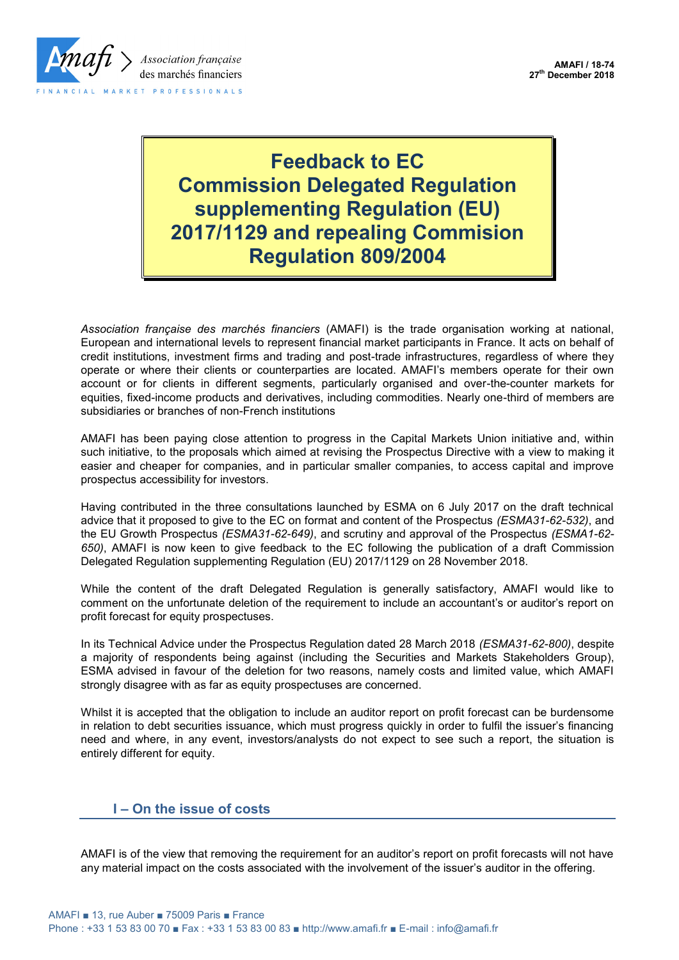

## **Feedback to EC Commission Delegated Regulation supplementing Regulation (EU) 2017/1129 and repealing Commision Regulation 809/2004**

*Association française des marchés financiers* (AMAFI) is the trade organisation working at national, European and international levels to represent financial market participants in France. It acts on behalf of credit institutions, investment firms and trading and post-trade infrastructures, regardless of where they operate or where their clients or counterparties are located. AMAFI's members operate for their own account or for clients in different segments, particularly organised and over-the-counter markets for equities, fixed-income products and derivatives, including commodities. Nearly one-third of members are subsidiaries or branches of non-French institutions

AMAFI has been paying close attention to progress in the Capital Markets Union initiative and, within such initiative, to the proposals which aimed at revising the Prospectus Directive with a view to making it easier and cheaper for companies, and in particular smaller companies, to access capital and improve prospectus accessibility for investors.

Having contributed in the three consultations launched by ESMA on 6 July 2017 on the draft technical advice that it proposed to give to the EC on format and content of the Prospectus *(ESMA31-62-532)*, and the EU Growth Prospectus *(ESMA31-62-649)*, and scrutiny and approval of the Prospectus *(ESMA1-62- 650)*, AMAFI is now keen to give feedback to the EC following the publication of a draft Commission Delegated Regulation supplementing Regulation (EU) 2017/1129 on 28 November 2018.

While the content of the draft Delegated Regulation is generally satisfactory, AMAFI would like to comment on the unfortunate deletion of the requirement to include an accountant's or auditor's report on profit forecast for equity prospectuses.

In its Technical Advice under the Prospectus Regulation dated 28 March 2018 *(ESMA31-62-800)*, despite a majority of respondents being against (including the Securities and Markets Stakeholders Group), ESMA advised in favour of the deletion for two reasons, namely costs and limited value, which AMAFI strongly disagree with as far as equity prospectuses are concerned.

Whilst it is accepted that the obligation to include an auditor report on profit forecast can be burdensome in relation to debt securities issuance, which must progress quickly in order to fulfil the issuer's financing need and where, in any event, investors/analysts do not expect to see such a report, the situation is entirely different for equity.

## **I – On the issue of costs**

AMAFI is of the view that removing the requirement for an auditor's report on profit forecasts will not have any material impact on the costs associated with the involvement of the issuer's auditor in the offering.